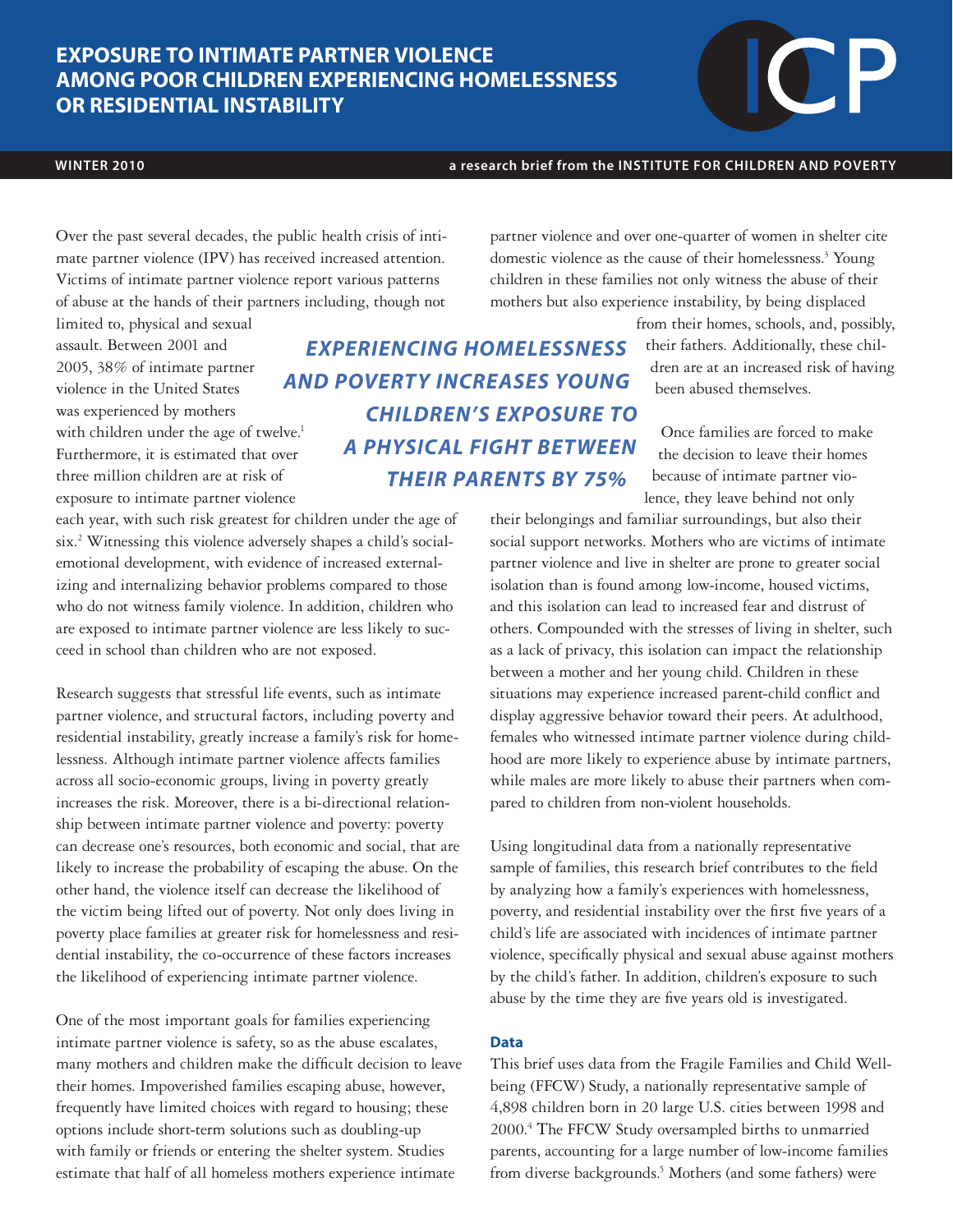# **EXPOSURE TO INTIMATE PARTNER VIOLENCE AMONG POOR CHILDREN EXPERIENCING HOMELESSNESS OR RESIDENTIAL INSTABILITY**

### **WINTER 2010 a research brief from the INSTITUTE FOR CHILDREN AND POVERTY**

Over the past several decades, the public health crisis of intimate partner violence (IPV) has received increased attention. Victims of intimate partner violence report various patterns of abuse at the hands of their partners including, though not

limited to, physical and sexual assault. Between 2001 and 2005, 38% of intimate partner violence in the United States was experienced by mothers with children under the age of twelve.<sup>1</sup> Furthermore, it is estimated that over three million children are at risk of exposure to intimate partner violence

each year, with such risk greatest for children under the age of six.2 Witnessing this violence adversely shapes a child's socialemotional development, with evidence of increased externalizing and internalizing behavior problems compared to those who do not witness family violence. In addition, children who are exposed to intimate partner violence are less likely to succeed in school than children who are not exposed.

Research suggests that stressful life events, such as intimate partner violence, and structural factors, including poverty and residential instability, greatly increase a family's risk for homelessness. Although intimate partner violence affects families across all socio-economic groups, living in poverty greatly increases the risk. Moreover, there is a bi-directional relationship between intimate partner violence and poverty: poverty can decrease one's resources, both economic and social, that are likely to increase the probability of escaping the abuse. On the other hand, the violence itself can decrease the likelihood of the victim being lifted out of poverty. Not only does living in poverty place families at greater risk for homelessness and residential instability, the co-occurrence of these factors increases the likelihood of experiencing intimate partner violence.

One of the most important goals for families experiencing intimate partner violence is safety, so as the abuse escalates, many mothers and children make the difficult decision to leave their homes. Impoverished families escaping abuse, however, frequently have limited choices with regard to housing; these options include short-term solutions such as doubling-up with family or friends or entering the shelter system. Studies estimate that half of all homeless mothers experience intimate

partner violence and over one-quarter of women in shelter cite domestic violence as the cause of their homelessness.<sup>3</sup> Young children in these families not only witness the abuse of their mothers but also experience instability, by being displaced

*EXPERIENCING HOMELESSNESS AND POVERTY INCREASES YOUNG CHILDREN'S EXPOSURE TO A PHYSICAL FIGHT BETWEEN* 

*THEIR PARENTS BY 75%*

from their homes, schools, and, possibly, their fathers. Additionally, these children are at an increased risk of having been abused themselves.

Once families are forced to make the decision to leave their homes because of intimate partner violence, they leave behind not only

their belongings and familiar surroundings, but also their social support networks. Mothers who are victims of intimate partner violence and live in shelter are prone to greater social isolation than is found among low-income, housed victims, and this isolation can lead to increased fear and distrust of others. Compounded with the stresses of living in shelter, such as a lack of privacy, this isolation can impact the relationship between a mother and her young child. Children in these situations may experience increased parent-child conflict and display aggressive behavior toward their peers. At adulthood, females who witnessed intimate partner violence during childhood are more likely to experience abuse by intimate partners, while males are more likely to abuse their partners when compared to children from non-violent households.

Using longitudinal data from a nationally representative sample of families, this research brief contributes to the field by analyzing how a family's experiences with homelessness, poverty, and residential instability over the first five years of a child's life are associated with incidences of intimate partner violence, specifically physical and sexual abuse against mothers by the child's father. In addition, children's exposure to such abuse by the time they are five years old is investigated.

### **Data**

This brief uses data from the Fragile Families and Child Wellbeing (FFCW) Study, a nationally representative sample of 4,898 children born in 20 large U.S. cities between 1998 and 2000.4 The FFCW Study oversampled births to unmarried parents, accounting for a large number of low-income families from diverse backgrounds.<sup>5</sup> Mothers (and some fathers) were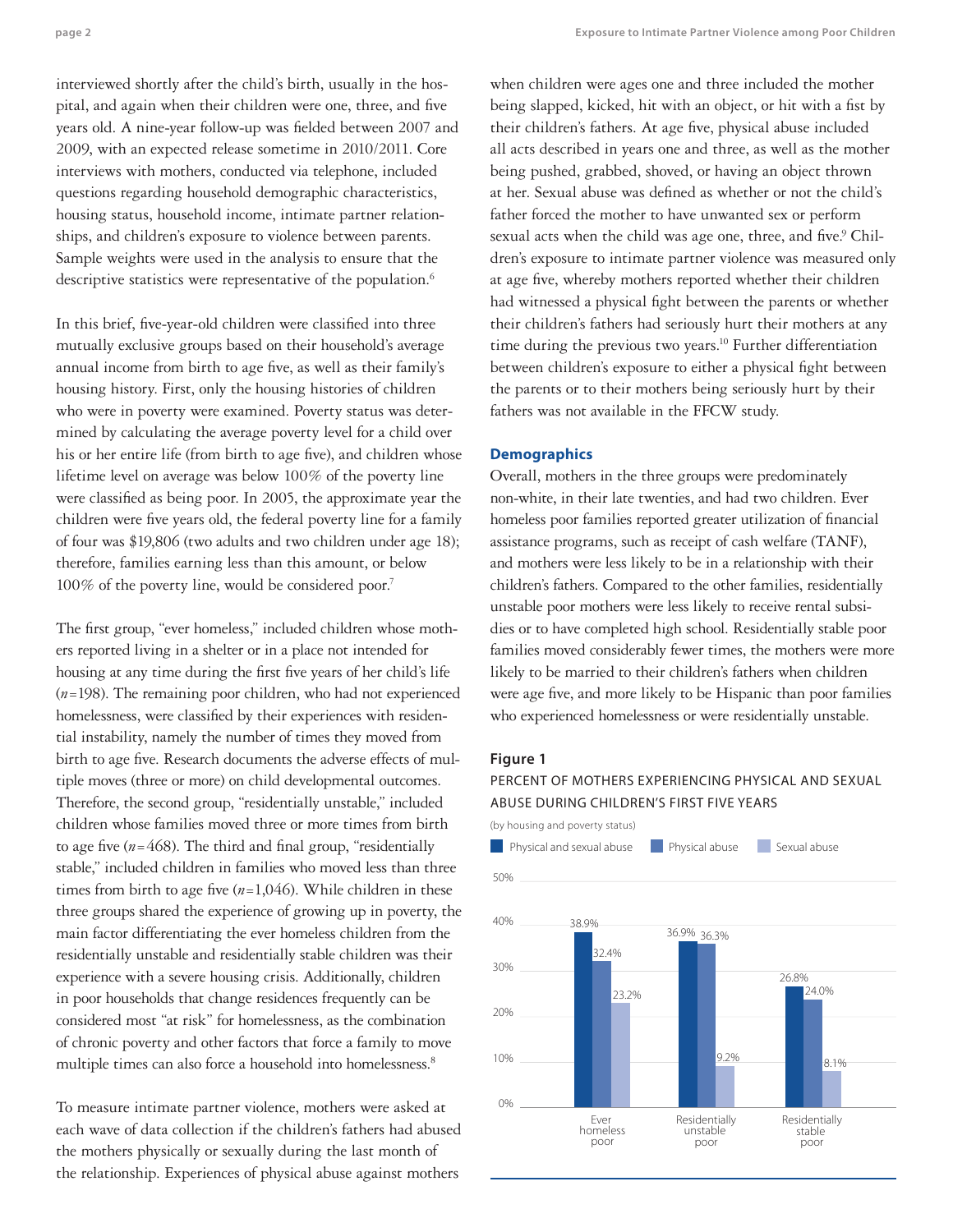**page 2 Exposure to Intimate Partner Violence among Poor Children** 

interviewed shortly after the child's birth, usually in the hospital, and again when their children were one, three, and five years old. A nine-year follow-up was fielded between 2007 and 2009, with an expected release sometime in 2010/2011. Core interviews with mothers, conducted via telephone, included questions regarding household demographic characteristics, housing status, household income, intimate partner relationships, and children's exposure to violence between parents. Sample weights were used in the analysis to ensure that the descriptive statistics were representative of the population.<sup>6</sup>

In this brief, five-year-old children were classified into three mutually exclusive groups based on their household's average annual income from birth to age five, as well as their family's housing history. First, only the housing histories of children who were in poverty were examined. Poverty status was determined by calculating the average poverty level for a child over his or her entire life (from birth to age five), and children whose lifetime level on average was below 100% of the poverty line were classified as being poor. In 2005, the approximate year the children were five years old, the federal poverty line for a family of four was \$19,806 (two adults and two children under age 18); therefore, families earning less than this amount, or below 100% of the poverty line, would be considered poor.<sup>7</sup>

The first group, "ever homeless," included children whose mothers reported living in a shelter or in a place not intended for housing at any time during the first five years of her child's life (*n*=198). The remaining poor children, who had not experienced homelessness, were classified by their experiences with residential instability, namely the number of times they moved from birth to age five. Research documents the adverse effects of multiple moves (three or more) on child developmental outcomes. Therefore, the second group, "residentially unstable," included children whose families moved three or more times from birth to age five  $(n=468)$ . The third and final group, "residentially stable," included children in families who moved less than three times from birth to age five (*n*=1,046). While children in these three groups shared the experience of growing up in poverty, the main factor differentiating the ever homeless children from the residentially unstable and residentially stable children was their experience with a severe housing crisis. Additionally, children in poor households that change residences frequently can be considered most "at risk" for homelessness, as the combination of chronic poverty and other factors that force a family to move multiple times can also force a household into homelessness.<sup>8</sup>

To measure intimate partner violence, mothers were asked at each wave of data collection if the children's fathers had abused the mothers physically or sexually during the last month of the relationship. Experiences of physical abuse against mothers

when children were ages one and three included the mother being slapped, kicked, hit with an object, or hit with a fist by their children's fathers. At age five, physical abuse included all acts described in years one and three, as well as the mother being pushed, grabbed, shoved, or having an object thrown at her. Sexual abuse was defined as whether or not the child's father forced the mother to have unwanted sex or perform sexual acts when the child was age one, three, and five.<sup>9</sup> Children's exposure to intimate partner violence was measured only at age five, whereby mothers reported whether their children had witnessed a physical fight between the parents or whether their children's fathers had seriously hurt their mothers at any time during the previous two years.<sup>10</sup> Further differentiation between children's exposure to either a physical fight between the parents or to their mothers being seriously hurt by their fathers was not available in the FFCW study.

### **Demographics**

Overall, mothers in the three groups were predominately non-white, in their late twenties, and had two children. Ever homeless poor families reported greater utilization of financial assistance programs, such as receipt of cash welfare (TANF), and mothers were less likely to be in a relationship with their children's fathers. Compared to the other families, residentially unstable poor mothers were less likely to receive rental subsidies or to have completed high school. Residentially stable poor families moved considerably fewer times, the mothers were more likely to be married to their children's fathers when children were age five, and more likely to be Hispanic than poor families who experienced homelessness or were residentially unstable.

#### **Figure 1**

## PERCENT OF MOTHERS EXPERIENCING PHYSICAL AND SEXUAL ABUSE DURING CHILDREN'S FIRST FIVE YEARS

(by housing and poverty status)

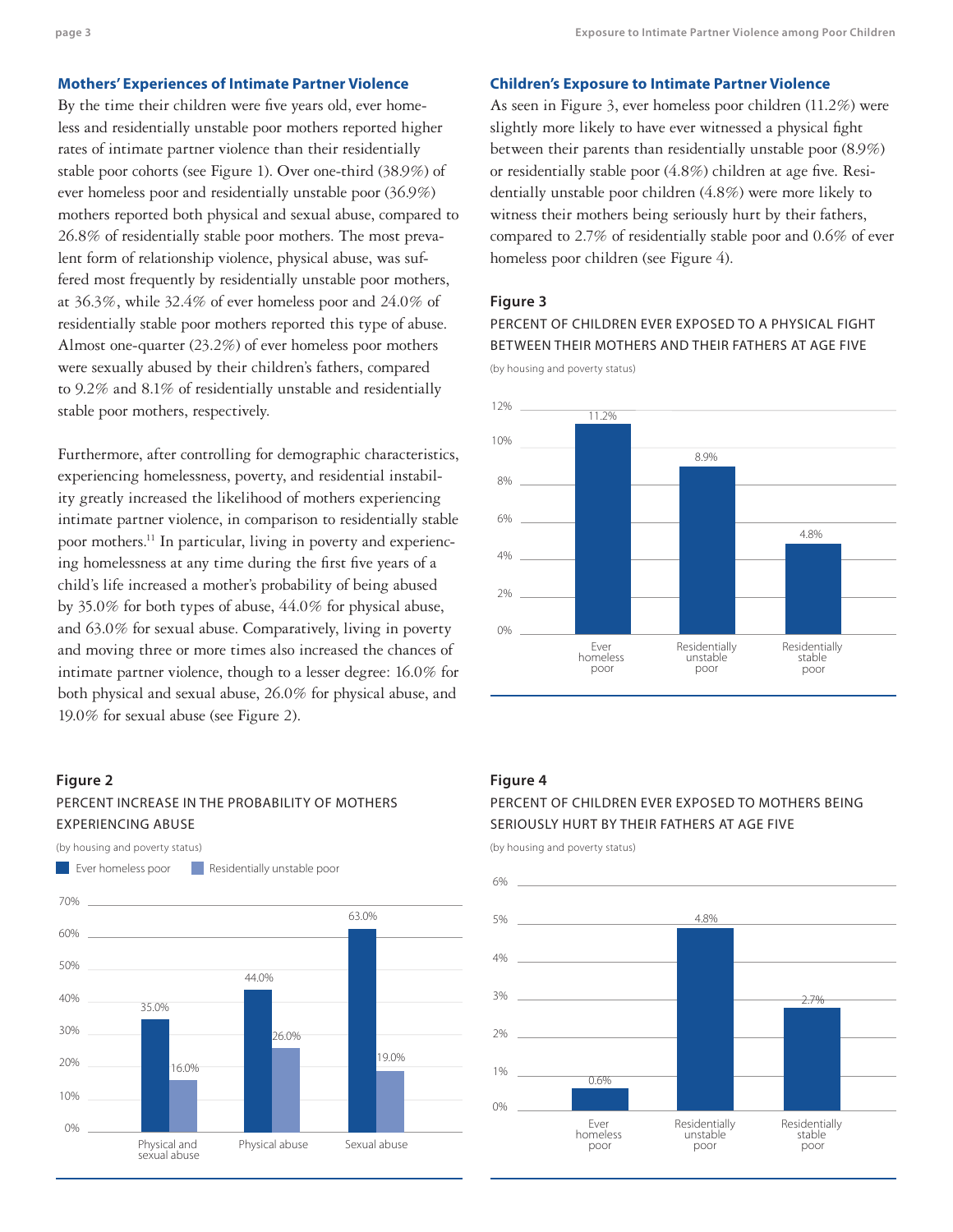#### **Mothers' Experiences of Intimate Partner Violence**

By the time their children were five years old, ever homeless and residentially unstable poor mothers reported higher rates of intimate partner violence than their residentially stable poor cohorts (see Figure 1). Over one-third (38.9%) of ever homeless poor and residentially unstable poor (36.9%) mothers reported both physical and sexual abuse, compared to 26.8% of residentially stable poor mothers. The most prevalent form of relationship violence, physical abuse, was suffered most frequently by residentially unstable poor mothers, at 36.3%, while 32.4% of ever homeless poor and 24.0% of residentially stable poor mothers reported this type of abuse. Almost one-quarter (23.2%) of ever homeless poor mothers were sexually abused by their children's fathers, compared to 9.2% and 8.1% of residentially unstable and residentially stable poor mothers, respectively.

Furthermore, after controlling for demographic characteristics, experiencing homelessness, poverty, and residential instability greatly increased the likelihood of mothers experiencing intimate partner violence, in comparison to residentially stable poor mothers.11 In particular, living in poverty and experiencing homelessness at any time during the first five years of a child's life increased a mother's probability of being abused by 35.0% for both types of abuse, 44.0% for physical abuse, and 63.0% for sexual abuse. Comparatively, living in poverty and moving three or more times also increased the chances of intimate partner violence, though to a lesser degree: 16.0% for both physical and sexual abuse, 26.0% for physical abuse, and 19.0% for sexual abuse (see Figure 2).

#### **Figure 2**

0%

10%

20% 30%

40%

## PERCENT INCREASE IN THE PROBABILITY OF MOTHERS EXPERIENCING ABUSE

(by housing and poverty status)

Physical and sexual abuse

16.0%

35.0%



Physical abuse Sexual abuse

26.0%

19.0%

#### **Children's Exposure to Intimate Partner Violence**

As seen in Figure 3, ever homeless poor children (11.2%) were slightly more likely to have ever witnessed a physical fight between their parents than residentially unstable poor (8.9%) or residentially stable poor (4.8%) children at age five. Residentially unstable poor children (4.8%) were more likely to witness their mothers being seriously hurt by their fathers, compared to 2.7% of residentially stable poor and 0.6% of ever homeless poor children (see Figure 4).

#### **Figure 3**

PERCENT OF CHILDREN EVER EXPOSED TO A PHYSICAL FIGHT BETWEEN THEIR MOTHERS AND THEIR FATHERS AT AGE FIVE

(by housing and poverty status)



#### **Figure 4**

## PERCENT OF CHILDREN EVER EXPOSED TO MOTHERS BEING SERIOUSLY HURT BY THEIR FATHERS AT AGE FIVE

(by housing and poverty status)

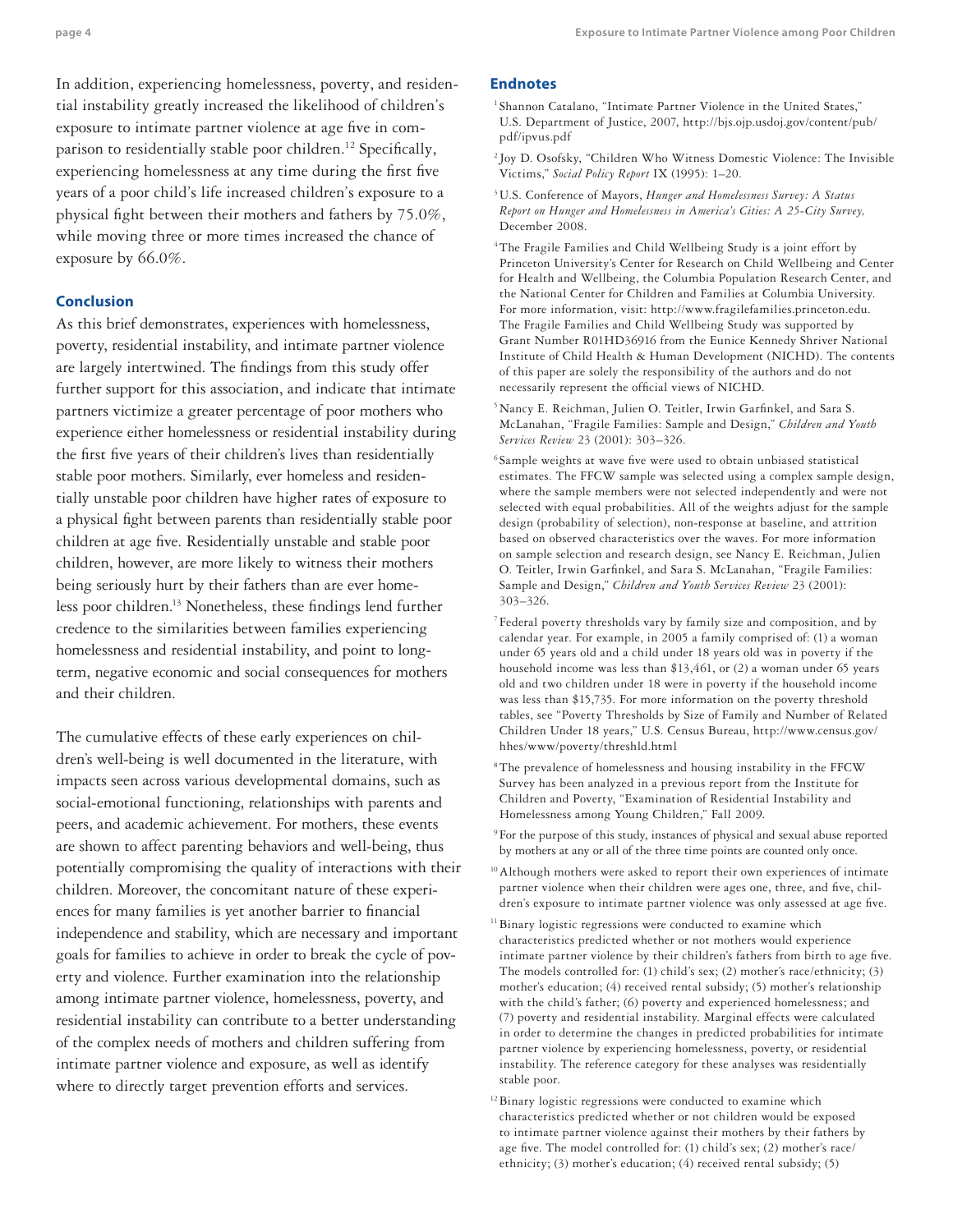In addition, experiencing homelessness, poverty, and residential instability greatly increased the likelihood of children's exposure to intimate partner violence at age five in comparison to residentially stable poor children.<sup>12</sup> Specifically, experiencing homelessness at any time during the first five years of a poor child's life increased children's exposure to a physical fight between their mothers and fathers by 75.0%, while moving three or more times increased the chance of exposure by 66.0%.

#### **Conclusion**

As this brief demonstrates, experiences with homelessness, poverty, residential instability, and intimate partner violence are largely intertwined. The findings from this study offer further support for this association, and indicate that intimate partners victimize a greater percentage of poor mothers who experience either homelessness or residential instability during the first five years of their children's lives than residentially stable poor mothers. Similarly, ever homeless and residentially unstable poor children have higher rates of exposure to a physical fight between parents than residentially stable poor children at age five. Residentially unstable and stable poor children, however, are more likely to witness their mothers being seriously hurt by their fathers than are ever homeless poor children.13 Nonetheless, these findings lend further credence to the similarities between families experiencing homelessness and residential instability, and point to longterm, negative economic and social consequences for mothers and their children.

The cumulative effects of these early experiences on children's well-being is well documented in the literature, with impacts seen across various developmental domains, such as social-emotional functioning, relationships with parents and peers, and academic achievement. For mothers, these events are shown to affect parenting behaviors and well-being, thus potentially compromising the quality of interactions with their children. Moreover, the concomitant nature of these experiences for many families is yet another barrier to financial independence and stability, which are necessary and important goals for families to achieve in order to break the cycle of poverty and violence. Further examination into the relationship among intimate partner violence, homelessness, poverty, and residential instability can contribute to a better understanding of the complex needs of mothers and children suffering from intimate partner violence and exposure, as well as identify where to directly target prevention efforts and services.

#### **Endnotes**

- <sup>1</sup> Shannon Catalano, "Intimate Partner Violence in the United States," U.S. Department of Justice, 2007, http://bjs.ojp.usdoj.gov/content/pub/ pdf/ipvus.pdf
- <sup>2</sup> Joy D. Osofsky, "Children Who Witness Domestic Violence: The Invisible Victims," *Social Policy Report* IX (1995): 1–20.
- 3U.S. Conference of Mayors, *Hunger and Homelessness Survey: A Status Report on Hunger and Homelessness in America's Cities: A 25-City Survey,*  December 2008.
- <sup>4</sup>The Fragile Families and Child Wellbeing Study is a joint effort by Princeton University's Center for Research on Child Wellbeing and Center for Health and Wellbeing, the Columbia Population Research Center, and the National Center for Children and Families at Columbia University. For more information, visit: http://www.fragilefamilies.princeton.edu. The Fragile Families and Child Wellbeing Study was supported by Grant Number R01HD36916 from the Eunice Kennedy Shriver National Institute of Child Health & Human Development (NICHD). The contents of this paper are solely the responsibility of the authors and do not necessarily represent the official views of NICHD.
- 5Nancy E. Reichman, Julien O. Teitler, Irwin Garfinkel, and Sara S. McLanahan, "Fragile Families: Sample and Design," *Children and Youth Services Review* 23 (2001): 303–326.

<sup>6</sup> Sample weights at wave five were used to obtain unbiased statistical estimates. The FFCW sample was selected using a complex sample design, where the sample members were not selected independently and were not selected with equal probabilities. All of the weights adjust for the sample design (probability of selection), non-response at baseline, and attrition based on observed characteristics over the waves. For more information on sample selection and research design, see Nancy E. Reichman, Julien O. Teitler, Irwin Garfinkel, and Sara S. McLanahan, "Fragile Families: Sample and Design," *Children and Youth Services Review* 23 (2001): 303–326.

- <sup>7</sup> Federal poverty thresholds vary by family size and composition, and by calendar year. For example, in 2005 a family comprised of: (1) a woman under 65 years old and a child under 18 years old was in poverty if the household income was less than \$13,461, or (2) a woman under 65 years old and two children under 18 were in poverty if the household income was less than \$15,735. For more information on the poverty threshold tables, see "Poverty Thresholds by Size of Family and Number of Related Children Under 18 years," U.S. Census Bureau, http://www.census.gov/ hhes/www/poverty/threshld.html
- 8The prevalence of homelessness and housing instability in the FFCW Survey has been analyzed in a previous report from the Institute for Children and Poverty, "Examination of Residential Instability and Homelessness among Young Children," Fall 2009.
- <sup>9</sup> For the purpose of this study, instances of physical and sexual abuse reported by mothers at any or all of the three time points are counted only once.
- <sup>10</sup> Although mothers were asked to report their own experiences of intimate partner violence when their children were ages one, three, and five, children's exposure to intimate partner violence was only assessed at age five.
- <sup>11</sup> Binary logistic regressions were conducted to examine which characteristics predicted whether or not mothers would experience intimate partner violence by their children's fathers from birth to age five. The models controlled for: (1) child's sex; (2) mother's race/ethnicity; (3) mother's education; (4) received rental subsidy; (5) mother's relationship with the child's father; (6) poverty and experienced homelessness; and (7) poverty and residential instability. Marginal effects were calculated in order to determine the changes in predicted probabilities for intimate partner violence by experiencing homelessness, poverty, or residential instability. The reference category for these analyses was residentially stable poor.
- <sup>12</sup> Binary logistic regressions were conducted to examine which characteristics predicted whether or not children would be exposed to intimate partner violence against their mothers by their fathers by age five. The model controlled for: (1) child's sex; (2) mother's race/ ethnicity; (3) mother's education; (4) received rental subsidy; (5)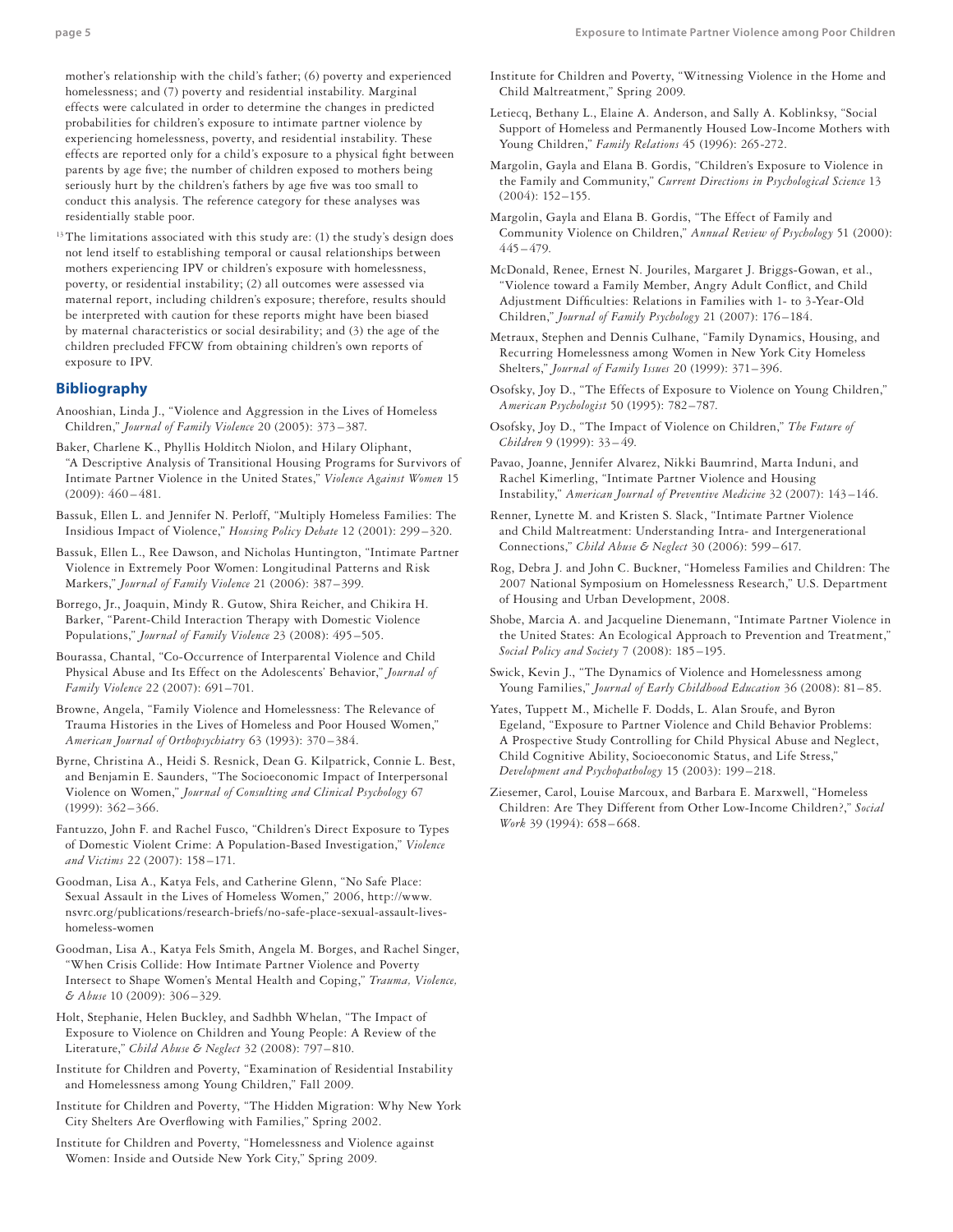mother's relationship with the child's father; (6) poverty and experienced homelessness; and (7) poverty and residential instability. Marginal effects were calculated in order to determine the changes in predicted probabilities for children's exposure to intimate partner violence by experiencing homelessness, poverty, and residential instability. These effects are reported only for a child's exposure to a physical fight between parents by age five; the number of children exposed to mothers being seriously hurt by the children's fathers by age five was too small to conduct this analysis. The reference category for these analyses was residentially stable poor.

<sup>13</sup>The limitations associated with this study are: (1) the study's design does not lend itself to establishing temporal or causal relationships between mothers experiencing IPV or children's exposure with homelessness, poverty, or residential instability; (2) all outcomes were assessed via maternal report, including children's exposure; therefore, results should be interpreted with caution for these reports might have been biased by maternal characteristics or social desirability; and (3) the age of the children precluded FFCW from obtaining children's own reports of exposure to IPV.

#### **Bibliography**

- Anooshian, Linda J., "Violence and Aggression in the Lives of Homeless Children," *Journal of Family Violence* 20 (2005): 373 –387.
- Baker, Charlene K., Phyllis Holditch Niolon, and Hilary Oliphant, "A Descriptive Analysis of Transitional Housing Programs for Survivors of Intimate Partner Violence in the United States," *Violence Against Women* 15  $(2009): 460 - 481.$
- Bassuk, Ellen L. and Jennifer N. Perloff, "Multiply Homeless Families: The Insidious Impact of Violence," *Housing Policy Debate* 12 (2001): 299 –320.
- Bassuk, Ellen L., Ree Dawson, and Nicholas Huntington, "Intimate Partner Violence in Extremely Poor Women: Longitudinal Patterns and Risk Markers," *Journal of Family Violence* 21 (2006): 387–399.
- Borrego, Jr., Joaquin, Mindy R. Gutow, Shira Reicher, and Chikira H. Barker, "Parent-Child Interaction Therapy with Domestic Violence Populations," *Journal of Family Violence* 23 (2008): 495–505.
- Bourassa, Chantal, "Co-Occurrence of Interparental Violence and Child Physical Abuse and Its Effect on the Adolescents' Behavior," *Journal of Family Violence* 22 (2007): 691–701.
- Browne, Angela, "Family Violence and Homelessness: The Relevance of Trauma Histories in the Lives of Homeless and Poor Housed Women," *American Journal of Orthopsychiatry* 63 (1993): 370 –384.
- Byrne, Christina A., Heidi S. Resnick, Dean G. Kilpatrick, Connie L. Best, and Benjamin E. Saunders, "The Socioeconomic Impact of Interpersonal Violence on Women," *Journal of Consulting and Clinical Psychology* 67 (1999): 362–366.
- Fantuzzo, John F. and Rachel Fusco, "Children's Direct Exposure to Types of Domestic Violent Crime: A Population-Based Investigation," *Violence and Victims* 22 (2007): 158 –171.
- Goodman, Lisa A., Katya Fels, and Catherine Glenn, "No Safe Place: Sexual Assault in the Lives of Homeless Women," 2006, http://www. nsvrc.org/publications/research-briefs/no-safe-place-sexual-assault-liveshomeless-women
- Goodman, Lisa A., Katya Fels Smith, Angela M. Borges, and Rachel Singer, "When Crisis Collide: How Intimate Partner Violence and Poverty Intersect to Shape Women's Mental Health and Coping," *Trauma, Violence, & Abuse* 10 (2009): 306 –329.
- Holt, Stephanie, Helen Buckley, and Sadhbh Whelan, "The Impact of Exposure to Violence on Children and Young People: A Review of the Literature," *Child Abuse & Neglect* 32 (2008): 797– 810.
- Institute for Children and Poverty, "Examination of Residential Instability and Homelessness among Young Children," Fall 2009.
- Institute for Children and Poverty, "The Hidden Migration: Why New York City Shelters Are Overflowing with Families," Spring 2002.
- Institute for Children and Poverty, "Homelessness and Violence against Women: Inside and Outside New York City," Spring 2009.
- Institute for Children and Poverty, "Witnessing Violence in the Home and Child Maltreatment," Spring 2009.
- Letiecq, Bethany L., Elaine A. Anderson, and Sally A. Koblinksy, "Social Support of Homeless and Permanently Housed Low-Income Mothers with Young Children," *Family Relations* 45 (1996): 265-272.
- Margolin, Gayla and Elana B. Gordis, "Children's Exposure to Violence in the Family and Community," *Current Directions in Psychological Science* 13 (2004): 152–155.
- Margolin, Gayla and Elana B. Gordis, "The Effect of Family and Community Violence on Children," *Annual Review of Psychology* 51 (2000):  $445 - 479$ .
- McDonald, Renee, Ernest N. Jouriles, Margaret J. Briggs-Gowan, et al., "Violence toward a Family Member, Angry Adult Conflict, and Child Adjustment Difficulties: Relations in Families with 1- to 3-Year-Old Children," *Journal of Family Psychology* 21 (2007): 176 –184.
- Metraux, Stephen and Dennis Culhane, "Family Dynamics, Housing, and Recurring Homelessness among Women in New York City Homeless Shelters," *Journal of Family Issues* 20 (1999): 371–396.
- Osofsky, Joy D., "The Effects of Exposure to Violence on Young Children," *American Psychologist* 50 (1995): 782–787.
- Osofsky, Joy D., "The Impact of Violence on Children," *The Future of Children* 9 (1999): 33 – 49.
- Pavao, Joanne, Jennifer Alvarez, Nikki Baumrind, Marta Induni, and Rachel Kimerling, "Intimate Partner Violence and Housing Instability," *American Journal of Preventive Medicine* 32 (2007): 143 –146.
- Renner, Lynette M. and Kristen S. Slack, "Intimate Partner Violence and Child Maltreatment: Understanding Intra- and Intergenerational Connections," *Child Abuse & Neglect* 30 (2006): 599 – 617.
- Rog, Debra J. and John C. Buckner, "Homeless Families and Children: The 2007 National Symposium on Homelessness Research," U.S. Department of Housing and Urban Development, 2008.
- Shobe, Marcia A. and Jacqueline Dienemann, "Intimate Partner Violence in the United States: An Ecological Approach to Prevention and Treatment," *Social Policy and Society* 7 (2008): 185–195.
- Swick, Kevin J., "The Dynamics of Violence and Homelessness among Young Families," *Journal of Early Childhood Education* 36 (2008): 81-85.
- Yates, Tuppett M., Michelle F. Dodds, L. Alan Sroufe, and Byron Egeland, "Exposure to Partner Violence and Child Behavior Problems: A Prospective Study Controlling for Child Physical Abuse and Neglect, Child Cognitive Ability, Socioeconomic Status, and Life Stress," *Development and Psychopathology* 15 (2003): 199 –218.
- Ziesemer, Carol, Louise Marcoux, and Barbara E. Marxwell, "Homeless Children: Are They Different from Other Low-Income Children?," *Social Work* 39 (1994): 658 – 668.